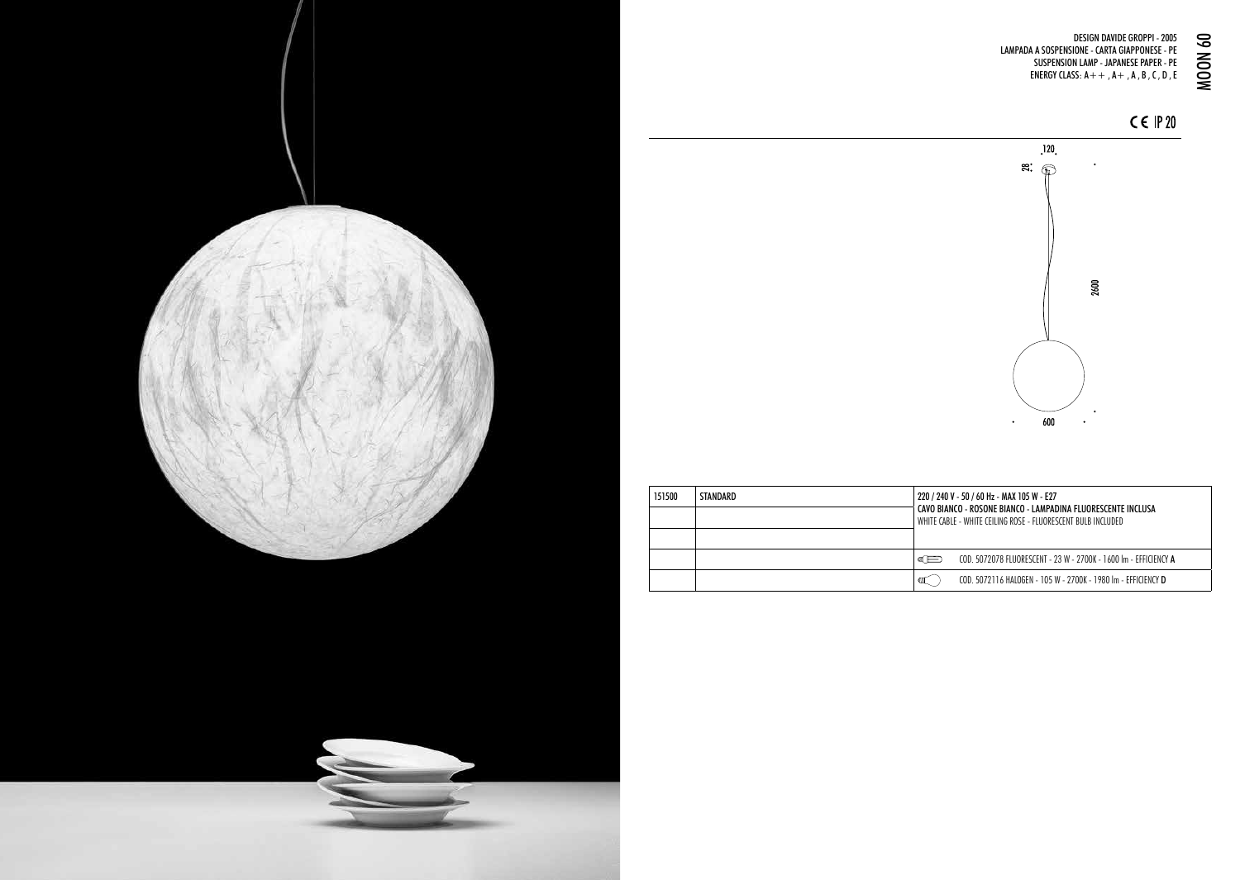DESIGN DAVIDE GROPPI - 2005 LAMPADA A SOSPENSIONE - CARTA GIAPPONESE - PE SUSPENSION LAMP - JAPANESE PAPER - PE DESIGN DAVIDE GROPPI - 2005<br>A A SOSPENSIONE - CARTA GIAPPONESE - PE<br>SUSPENSION LAMP - JAPANESE PAPER - PE<br>ENERGY CLASS: A + + , A + , A , B , C , D , E



 $C \in IP$  20



| 151500 | STANDARD | 220 / 240 V - 50 / 60 Hz - MAX 105 W - E27<br>CAVO BIANCO - ROSONE BIANCO - LAMPADINA FLUORESCENTE INCLUSA<br>WHITE CABLE - WHITE CEILING ROSE - FLUORESCENT BULB INCLUDED |  |
|--------|----------|----------------------------------------------------------------------------------------------------------------------------------------------------------------------------|--|
|        |          | COD. 5072078 FLUORESCENT - 23 W - 2700K - 1600 Im - EFFICIENCY A<br>ள⊟                                                                                                     |  |
|        |          | COD. 5072116 HALOGEN - 105 W - 2700K - 1980 Im - EFFICIENCY D<br>ΦШ                                                                                                        |  |

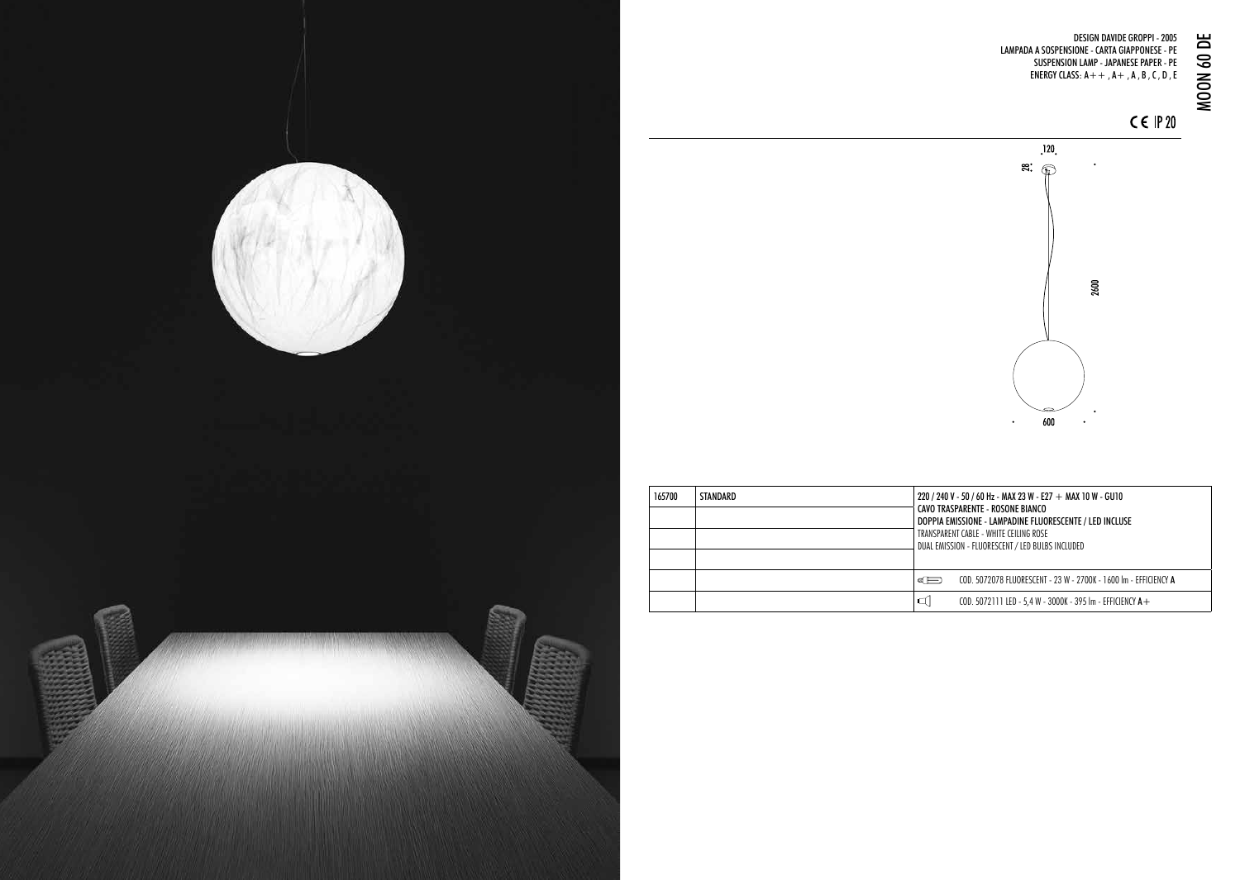

## DESIGN DAVIDE GROPPI - 2005 LAMPADA A SOSPENSIONE - CARTA GIAPPONESE - PE SUSPENSION LAMP - JAPANESE PAPER - PE ENERGY CLASS:  $A++$ ,  $A+$ ,  $A$ ,  $B$ ,  $C$ ,  $D$ ,  $E$ MOON 60 DE

 $C \in IP$  20



| 165700 | STANDARD | 220 / 240 V - 50 / 60 Hz - MAX 23 W - E27 $+$ MAX 10 W - GU10<br>CAVO TRASPARENTE - ROSONE BIANCO<br>DOPPIA EMISSIONE - LAMPADINE FLUORESCENTE / LED INCLUSE<br>TRANSPARENT CABLE - WHITE CEILING ROSE<br>DUAL EMISSION - FLUORESCENT / LED BULBS INCLUDED |                                                                  |
|--------|----------|------------------------------------------------------------------------------------------------------------------------------------------------------------------------------------------------------------------------------------------------------------|------------------------------------------------------------------|
|        |          | ள⊟                                                                                                                                                                                                                                                         | COD. 5072078 FLUORESCENT - 23 W - 2700K - 1600 Im - EFFICIENCY A |
|        |          | ◁                                                                                                                                                                                                                                                          | COD. 5072111 LED - 5,4 W - 3000K - 395 Im - EFFICIENCY $A+$      |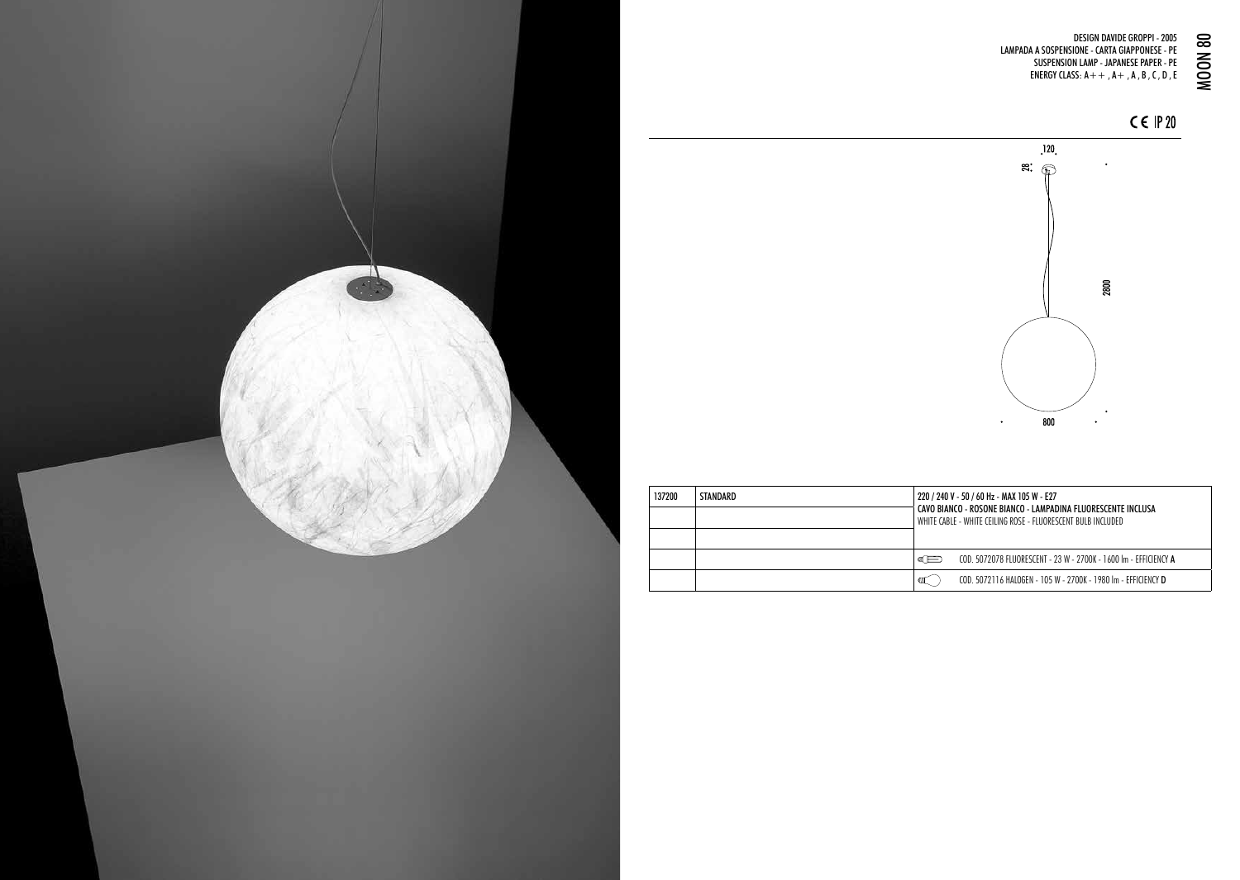DESIGN DAVIDE GROPPI - 2005 LAMPADA A SOSPENSIONE - CARTA GIAPPONESE - PE SUSPENSION LAMP - JAPANESE PAPER - PE DESIGN DAVIDE GROPPI - 2005<br>A A SOSPENSIONE - CARTA GIAPPONESE - PE<br>SUSPENSION LAMP - JAPANESE PAPER - PE<br>ENERGY CLASS: A + + , A + , A , B , C , D , E



 $C \in IP$  20



| 137200 | STANDARD | 220 / 240 V - 50 / 60 Hz - MAX 105 W - E27<br>CAVO BIANCO - ROSONE BIANCO - LAMPADINA FLUORESCENTE INCLUSA<br>WHITE CARIE - WHITE CELLING ROSE - ELIIORESCENT RIJIR INCLUDED |                                                                  |
|--------|----------|------------------------------------------------------------------------------------------------------------------------------------------------------------------------------|------------------------------------------------------------------|
|        |          | ள⊟                                                                                                                                                                           | COD 5072078 FILIORESCENT - 23 W - 2700K - 1600 Im - EFEICIENCY A |
|        |          |                                                                                                                                                                              | COD. 5072116 HALOGEN - 105 W - 2700K - 1980 Im - EFFICIENCY D    |